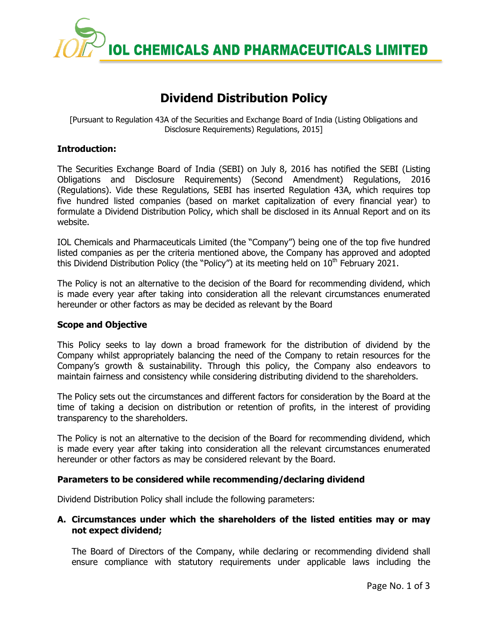

# **Dividend Distribution Policy**

[Pursuant to Regulation 43A of the Securities and Exchange Board of India (Listing Obligations and Disclosure Requirements) Regulations, 2015]

## **Introduction:**

The Securities Exchange Board of India (SEBI) on July 8, 2016 has notified the SEBI (Listing Obligations and Disclosure Requirements) (Second Amendment) Regulations, 2016 (Regulations). Vide these Regulations, SEBI has inserted Regulation 43A, which requires top five hundred listed companies (based on market capitalization of every financial year) to formulate a Dividend Distribution Policy, which shall be disclosed in its Annual Report and on its website.

IOL Chemicals and Pharmaceuticals Limited (the "Company") being one of the top five hundred listed companies as per the criteria mentioned above, the Company has approved and adopted this Dividend Distribution Policy (the "Policy") at its meeting held on 10<sup>th</sup> February 2021.

The Policy is not an alternative to the decision of the Board for recommending dividend, which is made every year after taking into consideration all the relevant circumstances enumerated hereunder or other factors as may be decided as relevant by the Board

### **Scope and Objective**

This Policy seeks to lay down a broad framework for the distribution of dividend by the Company whilst appropriately balancing the need of the Company to retain resources for the Company's growth & sustainability. Through this policy, the Company also endeavors to maintain fairness and consistency while considering distributing dividend to the shareholders.

The Policy sets out the circumstances and different factors for consideration by the Board at the time of taking a decision on distribution or retention of profits, in the interest of providing transparency to the shareholders.

The Policy is not an alternative to the decision of the Board for recommending dividend, which is made every year after taking into consideration all the relevant circumstances enumerated hereunder or other factors as may be considered relevant by the Board.

### **Parameters to be considered while recommending/declaring dividend**

Dividend Distribution Policy shall include the following parameters:

# **A. Circumstances under which the shareholders of the listed entities may or may not expect dividend;**

The Board of Directors of the Company, while declaring or recommending dividend shall ensure compliance with statutory requirements under applicable laws including the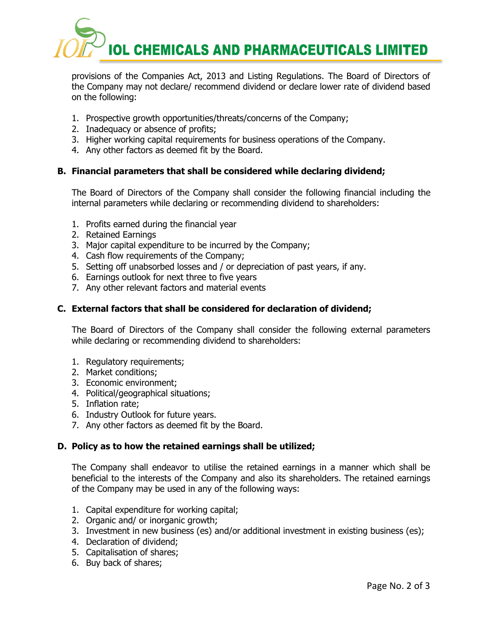

provisions of the Companies Act, 2013 and Listing Regulations. The Board of Directors of the Company may not declare/ recommend dividend or declare lower rate of dividend based on the following:

- 1. Prospective growth opportunities/threats/concerns of the Company;
- 2. Inadequacy or absence of profits;
- 3. Higher working capital requirements for business operations of the Company.
- 4. Any other factors as deemed fit by the Board.

# **B. Financial parameters that shall be considered while declaring dividend;**

The Board of Directors of the Company shall consider the following financial including the internal parameters while declaring or recommending dividend to shareholders:

- 1. Profits earned during the financial year
- 2. Retained Earnings
- 3. Major capital expenditure to be incurred by the Company;
- 4. Cash flow requirements of the Company;
- 5. Setting off unabsorbed losses and / or depreciation of past years, if any.
- 6. Earnings outlook for next three to five years
- 7. Any other relevant factors and material events

# **C. External factors that shall be considered for declaration of dividend;**

The Board of Directors of the Company shall consider the following external parameters while declaring or recommending dividend to shareholders:

- 1. Regulatory requirements;
- 2. Market conditions;
- 3. Economic environment;
- 4. Political/geographical situations;
- 5. Inflation rate;
- 6. Industry Outlook for future years.
- 7. Any other factors as deemed fit by the Board.

### **D. Policy as to how the retained earnings shall be utilized;**

The Company shall endeavor to utilise the retained earnings in a manner which shall be beneficial to the interests of the Company and also its shareholders. The retained earnings of the Company may be used in any of the following ways:

- 1. Capital expenditure for working capital;
- 2. Organic and/ or inorganic growth;
- 3. Investment in new business (es) and/or additional investment in existing business (es);
- 4. Declaration of dividend;
- 5. Capitalisation of shares;
- 6. Buy back of shares;